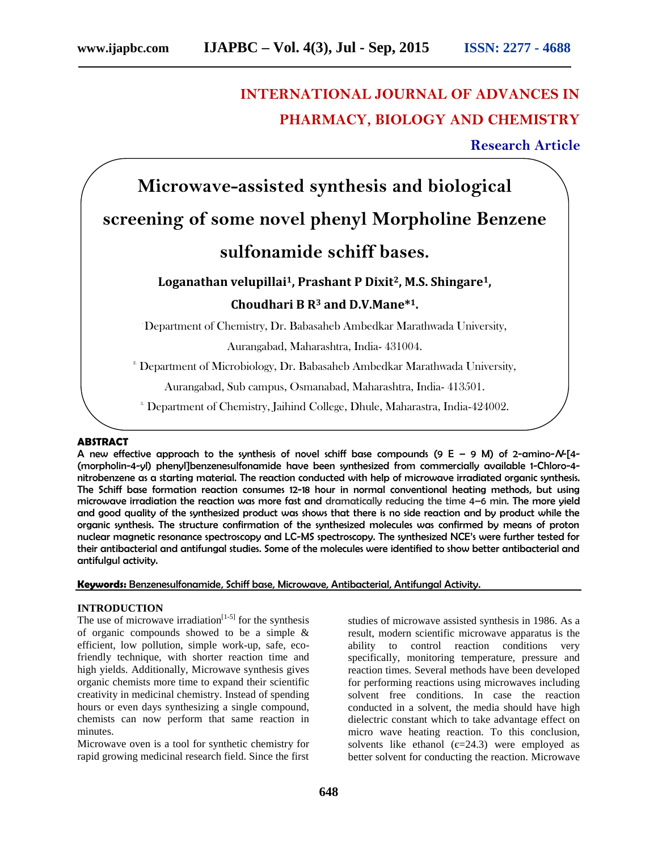## **INTERNATIONAL JOURNAL OF ADVANCES IN PHARMACY, BIOLOGY AND CHEMISTRY**

**Research Article**

# **Microwave-assisted synthesis and biological screening of some novel phenyl Morpholine Benzene sulfonamide schiff bases.**

### **Loganathan velupillai1, Prashant P Dixit2, M.S. Shingare1, Choudhari B R<sup>3</sup> and D.V.Mane\*1.**

.Department of Chemistry, Dr. Babasaheb Ambedkar Marathwada University,

Aurangabad, Maharashtra, India- 431004.

 $2^2$  Department of Microbiology, Dr. Babasaheb Ambedkar Marathwada University,

Aurangabad, Sub campus, Osmanabad, Maharashtra, India- 413501.

<sup>3.</sup> Department of Chemistry, Jaihind College, Dhule, Maharastra, India-424002.

#### **ABSTRACT**

A new effective approach to the synthesis of novel schiff base compounds (9 E – 9 M) of 2-amino-*N*-[4- (morpholin-4-yl) phenyl]benzenesulfonamide have been synthesized from commercially available 1-Chloro-4 nitrobenzene as a starting material. The reaction conducted with help of microwave irradiated organic synthesis. The Schiff base formation reaction consumes 12-18 hour in normal conventional heating methods, but using microwave irradiation the reaction was more fast and dramatically reducing the time 4–6 min. The more yield and good quality of the synthesized product was shows that there is no side reaction and by product while the organic synthesis. The structure confirmation of the synthesized molecules was confirmed by means of proton nuclear magnetic resonance spectroscopy and LC-MS spectroscopy. The synthesized NCE's were further tested for their antibacterial and antifungal studies. Some of the molecules were identified to show better antibacterial and antifulgul activity.

**Keywords:** Benzenesulfonamide, Schiff base, Microwave, Antibacterial, Antifungal Activity.

#### **INTRODUCTION**

The use of microwave irradiation<sup>[1-5]</sup> for the synthesis of organic compounds showed to be a simple & efficient, low pollution, simple work-up, safe, ecofriendly technique, with shorter reaction time and high yields. Additionally, Microwave synthesis gives organic chemists more time to expand their scientific creativity in medicinal chemistry. Instead of spending hours or even days synthesizing a single compound, chemists can now perform that same reaction in minutes.

Microwave oven is a tool for synthetic chemistry for rapid growing medicinal research field. Since the first studies of microwave assisted synthesis in 1986. As a result, modern scientific microwave apparatus is the ability to control reaction conditions very specifically, monitoring temperature, pressure and reaction times. Several methods have been developed for performing reactions using microwaves including solvent free conditions. In case the reaction conducted in a solvent, the media should have high dielectric constant which to take advantage effect on micro wave heating reaction. To this conclusion, solvents like ethanol  $(=24.3)$  were employed as better solvent for conducting the reaction. Microwave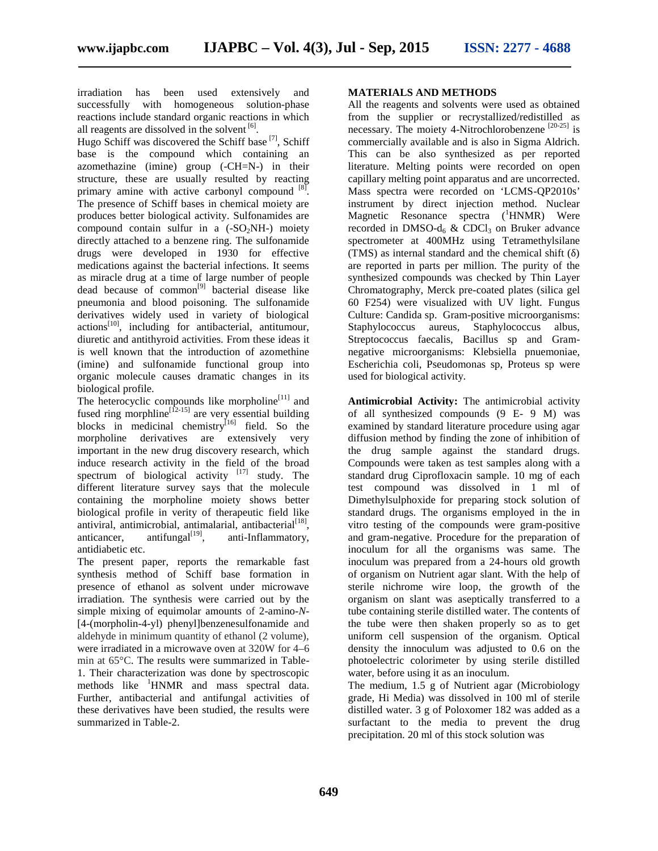irradiation has been used extensively and successfully with homogeneous solution-phase reactions include standard organic reactions in which all reagents are dissolved in the solvent [6].

Hugo Schiff was discovered the Schiff base [7], Schiff base is the compound which containing an azomethazine (imine) group (-CH=N-) in their structure, these are usually resulted by reacting primary amine with active carbonyl compound  $[8]$ . The presence of Schiff bases in chemical moiety are produces better biological activity. Sulfonamides are compound contain sulfur in a  $(-SO<sub>2</sub>NH<sub>-</sub>)$  moiety directly attached to a benzene ring. The sulfonamide drugs were developed in 1930 for effective medications against the bacterial infections. It seems as miracle drug at a time of large number of people  $\frac{d}{dt}$  dead because of common<sup>[9]</sup> bacterial disease like pneumonia and blood poisoning. The sulfonamide derivatives widely used in variety of biological actions<sup>[10]</sup>, including for antibacterial, antitumour, diuretic and antithyroid activities. From these ideas it is well known that the introduction of azomethine (imine) and sulfonamide functional group into organic molecule causes dramatic changes in its biological profile.

The heterocyclic compounds like morpholine<sup>[11]</sup> and fused ring morphline<sup>[12-15]</sup> are very essential building blocks in medicinal chemistry<sup>[16]</sup> field. So the morpholine derivatives are extensively very important in the new drug discovery research, which induce research activity in the field of the broad spectrum of biological activity  $[17]$  study. The different literature survey says that the molecule containing the morpholine moiety shows better biological profile in verity of therapeutic field like antiviral, antimicrobial, antimalarial, antibacterial $^{[18]}$ , anticancer, antifungal $\begin{bmatrix} 19 \end{bmatrix}$ , anti-Inflammatory, antidiabetic etc.

The present paper, reports the remarkable fast synthesis method of Schiff base formation in presence of ethanol as solvent under microwave irradiation. The synthesis were carried out by the simple mixing of equimolar amounts of 2-amino-*N*- [4-(morpholin-4-yl) phenyl]benzenesulfonamide and aldehyde in minimum quantity of ethanol (2 volume), were irradiated in a microwave oven at 320W for 4–6 min at 65°C. The results were summarized in Table- 1. Their characterization was done by spectroscopic methods like <sup>1</sup>HNMR and mass spectral data. Further, antibacterial and antifungal activities of these derivatives have been studied, the results were summarized in Table-2.

#### **MATERIALS AND METHODS**

All the reagents and solvents were used as obtained from the supplier or recrystallized/redistilled as necessary. The moiety 4-Nitrochlorobenzene <sup>[20-25]</sup> is commercially available and is also in Sigma Aldrich. This can be also synthesized as per reported literature. Melting points were recorded on open capillary melting point apparatus and are uncorrected. Mass spectra were recorded on 'LCMS-QP2010s' instrument by direct injection method. Nuclear Magnetic Resonance spectra  $(^1HNMR)$  Were recorded in DMSO- $d_6$  & CDCl<sub>3</sub> on Bruker advance spectrometer at 400MHz using Tetramethylsilane (TMS) as internal standard and the chemical shift ( $\theta$ ) are reported in parts per million. The purity of the synthesized compounds was checked by Thin Layer Chromatography, Merck pre-coated plates (silica gel 60 F254) were visualized with UV light. Fungus Culture: Candida sp. Gram-positive microorganisms: Staphylococcus aureus, Staphylococcus albus, Streptococcus faecalis, Bacillus sp and Gram negative microorganisms: Klebsiella pnuemoniae, Escherichia coli, Pseudomonas sp, Proteus sp were used for biological activity.

**Antimicrobial Activity:** The antimicrobial activity of all synthesized compounds (9 E- 9 M) was examined by standard literature procedure using agar diffusion method by finding the zone of inhibition of the drug sample against the standard drugs. Compounds were taken as test samples along with a standard drug Ciprofloxacin sample. 10 mg of each test compound was dissolved in 1 ml of Dimethylsulphoxide for preparing stock solution of standard drugs. The organisms employed in the in vitro testing of the compounds were gram-positive and gram-negative. Procedure for the preparation of inoculum for all the organisms was same. The inoculum was prepared from a 24-hours old growth of organism on Nutrient agar slant. With the help of sterile nichrome wire loop, the growth of the organism on slant was aseptically transferred to a tube containing sterile distilled water. The contents of the tube were then shaken properly so as to get uniform cell suspension of the organism. Optical density the innoculum was adjusted to 0.6 on the photoelectric colorimeter by using sterile distilled water, before using it as an inoculum.

The medium, 1.5 g of Nutrient agar (Microbiology grade, Hi Media) was dissolved in 100 ml of sterile distilled water. 3 g of Poloxomer 182 was added as a surfactant to the media to prevent the drug precipitation. 20 ml of this stock solution was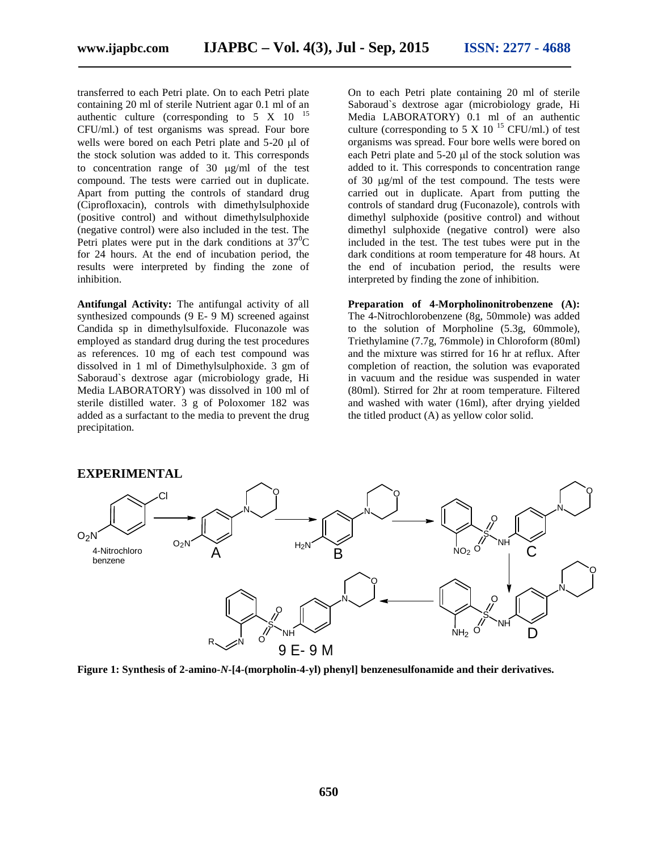transferred to each Petri plate. On to each Petri plate containing 20 ml of sterile Nutrient agar 0.1 ml of an authentic culture (corresponding to  $5 \times 10^{-15}$ CFU/ml.) of test organisms was spread. Four bore wells were bored on each Petri plate and  $5-20$   $\mu$ l of the stock solution was added to it. This corresponds to concentration range of  $30 \mu g/ml$  of the test compound. The tests were carried out in duplicate. Apart from putting the controls of standard drug (Ciprofloxacin), controls with dimethylsulphoxide (positive control) and without dimethylsulphoxide (negative control) were also included in the test. The Petri plates were put in the dark conditions at  $37^{\circ}$ C for 24 hours. At the end of incubation period, the results were interpreted by finding the zone of inhibition.

**Antifungal Activity:** The antifungal activity of all synthesized compounds (9 E- 9 M) screened against Candida sp in dimethylsulfoxide. Fluconazole was employed as standard drug during the test procedures as references. 10 mg of each test compound was dissolved in 1 ml of Dimethylsulphoxide. 3 gm of Saboraud`s dextrose agar (microbiology grade, Hi Media LABORATORY) was dissolved in 100 ml of sterile distilled water. 3 g of Poloxomer 182 was added as a surfactant to the media to prevent the drug precipitation.

On to each Petri plate containing 20 ml of sterile Saboraud`s dextrose agar (microbiology grade, Hi Media LABORATORY) 0.1 ml of an authentic culture (corresponding to 5 X 10<sup>15</sup> CFU/ml.) of test organisms was spread. Four bore wells were bored on each Petri plate and  $5-20$  µl of the stock solution was added to it. This corresponds to concentration range of 30  $\mu$ g/ml of the test compound. The tests were carried out in duplicate. Apart from putting the controls of standard drug (Fuconazole), controls with dimethyl sulphoxide (positive control) and without dimethyl sulphoxide (negative control) were also included in the test. The test tubes were put in the dark conditions at room temperature for 48 hours. At the end of incubation period, the results were interpreted by finding the zone of inhibition.

**Preparation of 4-Morpholinonitrobenzene (A):** The 4-Nitrochlorobenzene (8g, 50mmole) was added to the solution of Morpholine (5.3g, 60mmole), Triethylamine (7.7g, 76mmole) in Chloroform (80ml) and the mixture was stirred for 16 hr at reflux. After completion of reaction, the solution was evaporated in vacuum and the residue was suspended in water (80ml). Stirred for 2hr at room temperature. Filtered and washed with water (16ml), after drying yielded the titled product (A) as yellow color solid.



**Figure 1: Synthesis of 2-amino-***N***-[4-(morpholin-4-yl) phenyl] benzenesulfonamide and their derivatives.**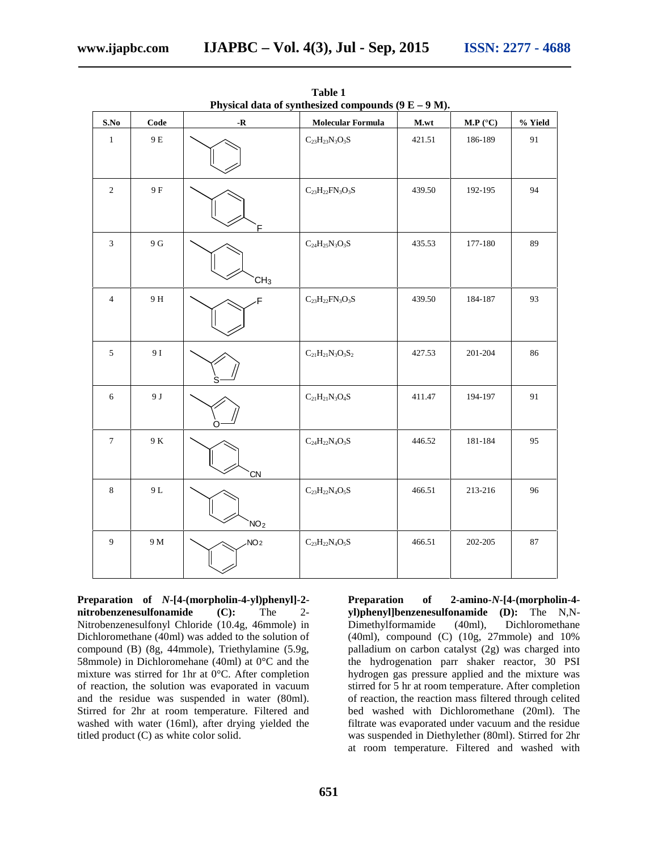| S.No            | Code            | $\mathbf R$     | <b>Molecular Formula</b>                            | M.wt   | M.P (°C) | % Yield |
|-----------------|-----------------|-----------------|-----------------------------------------------------|--------|----------|---------|
| $\,1\,$         | $9\,\mathrm{E}$ |                 | $\rm{C}_{23}\rm{H}_{23}\rm{N}_{3}\rm{O}_{3}\rm{S}$  | 421.51 | 186-189  | 91      |
| $\sqrt{2}$      | 9 F             | E               | $\rm{C}_{23}\rm{H}_{22}\rm{FN}_{3}\rm{O}_{3}\rm{S}$ | 439.50 | 192-195  | 94      |
| 3               | $9\,\mathrm{G}$ | CH <sub>3</sub> | $\rm{C_{24}H_{25}N_3O_3S}$                          | 435.53 | 177-180  | 89      |
| $\overline{4}$  | 9 H             | F               | $\rm{C}_{23}\rm{H}_{22}\rm{FN}_{3}\rm{O}_{3}\rm{S}$ | 439.50 | 184-187  | 93      |
| $\sqrt{5}$      | 9 I             |                 | $C_{21}H_{21}N_3O_3S_2$                             | 427.53 | 201-204  | 86      |
| $\sqrt{6}$      | 9 J             |                 | $\rm C_{21}H_{21}N_3O_4S$                           | 411.47 | 194-197  | 91      |
| $7\phantom{.0}$ | $9\ \mathrm{K}$ | CN              | $\rm{C_{24}H_{22}N_4O_3S}$                          | 446.52 | 181-184  | 95      |
| $\,8\,$         | $9\,\mathrm{L}$ | NO <sub>2</sub> | $\rm{C}_{23}\rm{H}_{22}\rm{N}_{4}\rm{O}_{5}\rm{S}$  | 466.51 | 213-216  | 96      |
| $\overline{9}$  | 9 M             | NO <sub>2</sub> | $\rm{C}_{23}\rm{H}_{22}\rm{N}_{4}\rm{O}_{5}\rm{S}$  | 466.51 | 202-205  | 87      |

**Table 1 Physical data of synthesized compounds (9 E – 9 M).**

**Preparation of** *N***-[4-(morpholin-4-yl)phenyl]-2 nitrobenzenesulfonamide (C):** The 2- Nitrobenzenesulfonyl Chloride (10.4g, 46mmole) in Dichloromethane (40ml) was added to the solution of compound (B) (8g, 44mmole), Triethylamine (5.9g, 58mmole) in Dichloromehane (40ml) at 0°C and the mixture was stirred for 1hr at 0°C. After completion of reaction, the solution was evaporated in vacuum and the residue was suspended in water (80ml). Stirred for 2hr at room temperature. Filtered and washed with water (16ml), after drying yielded the titled product (C) as white color solid.

**Preparation of 2-amino-***N***-[4-(morpholin-4 yl)phenyl]benzenesulfonamide (D):** The N,N- Dimethylformamide (40ml), Dichloromethane (40ml), compound (C) (10g, 27mmole) and 10% palladium on carbon catalyst (2g) was charged into the hydrogenation parr shaker reactor, 30 PSI hydrogen gas pressure applied and the mixture was stirred for 5 hr at room temperature. After completion of reaction, the reaction mass filtered through celited bed washed with Dichloromethane (20ml). The filtrate was evaporated under vacuum and the residue was suspended in Diethylether (80ml). Stirred for 2hr at room temperature. Filtered and washed with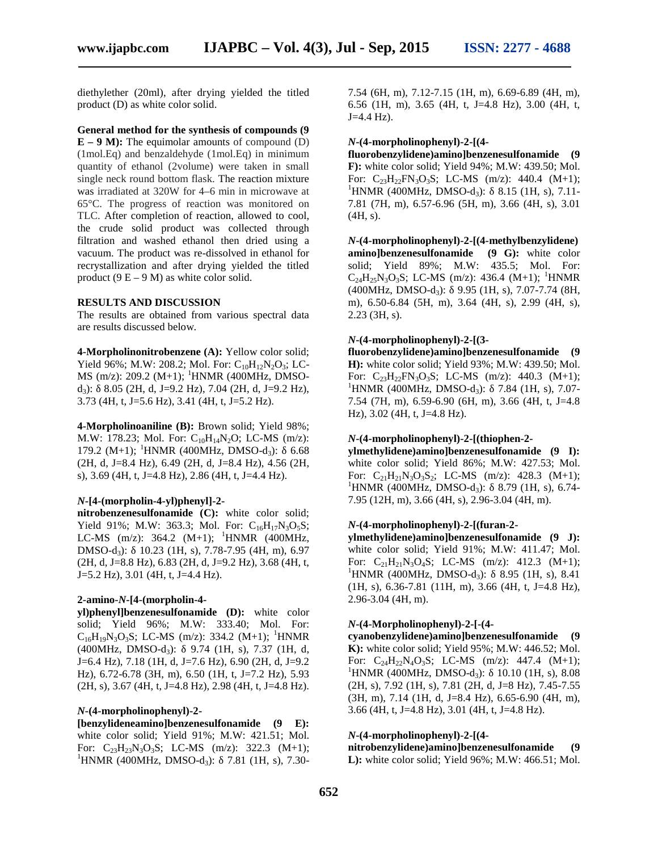diethylether (20ml), after drying yielded the titled product (D) as white color solid.

#### **General method for the synthesis of compounds (9**

 $E - 9$  **M**): The equimolar amounts of compound (D) (1mol.Eq) and benzaldehyde (1mol.Eq) in minimum quantity of ethanol (2volume) were taken in small single neck round bottom flask. The reaction mixture was irradiated at 320W for 4–6 min in microwave at 65°C. The progress of reaction was monitored on TLC. After completion of reaction, allowed to cool, the crude solid product was collected through filtration and washed ethanol then dried using a vacuum. The product was re-dissolved in ethanol for recrystallization and after drying yielded the titled product  $(9 E - 9 M)$  as white color solid.

#### **RESULTS AND DISCUSSION**

The results are obtained from various spectral data are results discussed below.

**4-Morpholinonitrobenzene (A):** Yellow color solid; Yield 96%; M.W: 208.2; Mol. For:  $C_{10}H_{12}N_2O_3$ ; LC-MS (m/z): 209.2 (M+1); <sup>1</sup>HNMR (400MHz, DMSOd<sub>3</sub>): 8.05 (2H, d, J=9.2 Hz), 7.04 (2H, d, J=9.2 Hz), 3.73 (4H, t, J=5.6 Hz), 3.41 (4H, t, J=5.2 Hz).

**4-Morpholinoaniline (B):** Brown solid; Yield 98%; M.W: 178.23; Mol. For:  $C_{10}H_{14}N_2O$ ; LC-MS (m/z): 179.2 (M+1); <sup>1</sup>HNMR (400MHz, DMSO-d<sub>3</sub>): 6.68 (2H, d, J=8.4 Hz), 6.49 (2H, d, J=8.4 Hz), 4.56 (2H, s), 3.69 (4H, t, J=4.8 Hz), 2.86 (4H, t, J=4.4 Hz).

#### *N***-[4-(morpholin-4-yl)phenyl]-2-**

**nitrobenzenesulfonamide (C):** white color solid; Yield 91%; M.W: 363.3; Mol. For:  $C_{16}H_{17}N_3O_5S$ ; LC-MS  $(m/z)$ : 364.2  $(M+1)$ ; <sup>1</sup>HNMR (400MHz, DMSO-d<sub>3</sub>): 10.23 (1H, s), 7.78-7.95 (4H, m), 6.97 white color solid; Yield 91%; M.W: 411.47; Mol. (2H, d, J=8.8 Hz), 6.83 (2H, d, J=9.2 Hz), 3.68 (4H, t, For: C<sub>21</sub>H<sub>21</sub>N<sub>3</sub>O<sub>4</sub>S; LC-MS (m/z): 412.3 (M+1); (2H, d, J=8.8 Hz), 6.83 (2H, d, J=9.2 Hz), 3.68 (4H, t, J=5.2 Hz), 3.01 (4H, t, J=4.4 Hz).

#### **2-amino-***N***-[4-(morpholin-4-**

**yl)phenyl]benzenesulfonamide (D):** white color solid; Yield 96%; M.W: 333.40; Mol. For:  $C_{16}H_{19}N_3O_3S$ ; LC-MS (m/z): 334.2 (M+1); <sup>1</sup>HNMR  $(400MHz, DMSO-d<sub>3</sub>): 9.74 (1H, s), 7.37 (1H, d,$ J=6.4 Hz), 7.18 (1H, d, J=7.6 Hz), 6.90 (2H, d, J=9.2 For:  $C_{24}H_{22}N_4O_3S$ ; LC-MS (m/z): 447.4 (M+1); Hz), 6.72-6.78 (3H, m), 6.50 (1H, t, J=7.2 Hz), 5.93 (2H, s), 3.67 (4H, t, J=4.8 Hz), 2.98 (4H, t, J=4.8 Hz).

#### *N***-(4-morpholinophenyl)-2-**

**[benzylideneamino]benzenesulfonamide (9 E):** white color solid; Yield 91%; M.W: 421.51; Mol. For:  $C_{23}H_{23}N_3O_3S$ ; LC-MS (m/z): 322.3 (M+1); <sup>1</sup>HNMR (400MHz, DMSO-d<sub>3</sub>): 7.81 (1H, s), 7.30-

7.54 (6H, m), 7.12-7.15 (1H, m), 6.69-6.89 (4H, m), 6.56 (1H, m), 3.65 (4H, t, J=4.8 Hz), 3.00 (4H, t, J=4.4 Hz).

#### *N***-(4-morpholinophenyl)-2-[(4-**

**fluorobenzylidene)amino]benzenesulfonamide (9 F):** white color solid; Yield 94%; M.W: 439.50; Mol. For:  $C_{23}H_{22}FN_3O_3S$ ; LC-MS (m/z): 440.4 (M+1); <sup>1</sup>HNMR (400MHz, DMSO-d<sub>3</sub>): 8.15 (1H, s), 7.11-7.81 (7H, m), 6.57-6.96 (5H, m), 3.66 (4H, s), 3.01 (4H, s).

*N***-(4-morpholinophenyl)-2-[(4-methylbenzylidene) amino]benzenesulfonamide (9 G):** white color solid; Yield 89%; M.W: 435.5; Mol. For:  $C_{24}H_{25}N_3O_3S$ ; LC-MS (m/z): 436.4 (M+1); <sup>1</sup>HNMR  $(400MHz, DMSO-d<sub>3</sub>): 9.95 (1H, s), 7.07-7.74 (8H,$ m), 6.50-6.84 (5H, m), 3.64 (4H, s), 2.99 (4H, s), 2.23 (3H, s).

#### *N***-(4-morpholinophenyl)-2-[(3-**

**fluorobenzylidene)amino]benzenesulfonamide (9 H):** white color solid; Yield 93%; M.W: 439.50; Mol. For:  $C_{23}H_{22}FN_3O_3S$ ; LC-MS (m/z): 440.3 (M+1); <sup>1</sup>HNMR (400MHz, DMSO-d<sub>3</sub>): 7.84 (1H, s), 7.07-7.54 (7H, m), 6.59-6.90 (6H, m), 3.66 (4H, t, J=4.8 Hz), 3.02 (4H, t, J=4.8 Hz).

#### *N***-(4-morpholinophenyl)-2-[(thiophen-2-**

**ylmethylidene)amino]benzenesulfonamide (9 I):** white color solid; Yield 86%; M.W: 427.53; Mol. For:  $C_{21}H_{21}N_3O_3S_2$ ; LC-MS (m/z): 428.3 (M+1); <sup>1</sup>HNMR (400MHz, DMSO-d<sub>3</sub>): 8.79 (1H, s), 6.74-7.95 (12H, m), 3.66 (4H, s), 2.96-3.04 (4H, m).

#### *N***-(4-morpholinophenyl)-2-[(furan-2-**

**ylmethylidene)amino]benzenesulfonamide (9 J):** white color solid; Yield 91%; M.W: 411.47; Mol.  $\text{HNMR}$  (400MHz, DMSO-d<sub>3</sub>): 8.95 (1H, s), 8.41 (1H, s), 6.36-7.81 (11H, m), 3.66 (4H, t, J=4.8 Hz), 2.96-3.04 (4H, m).

#### *N***-(4-Morpholinophenyl)-2-[-(4-**

**cyanobenzylidene)amino]benzenesulfonamide (9 K):** white color solid; Yield 95%; M.W: 446.52; Mol. FORMANA (400MHz, DMSO-d<sub>3</sub>): 10.10 (1H, s), 8.08<sup>1</sup> (2H, s), 7.92 (1H, s), 7.81 (2H, d, J=8 Hz), 7.45-7.55 (3H, m), 7.14 (1H, d, J=8.4 Hz), 6.65-6.90 (4H, m), 3.66 (4H, t, J=4.8 Hz), 3.01 (4H, t, J=4.8 Hz).

#### *N***-(4-morpholinophenyl)-2-[(4-**

**nitrobenzylidene)amino]benzenesulfonamide (9 L):** white color solid; Yield 96%; M.W: 466.51; Mol.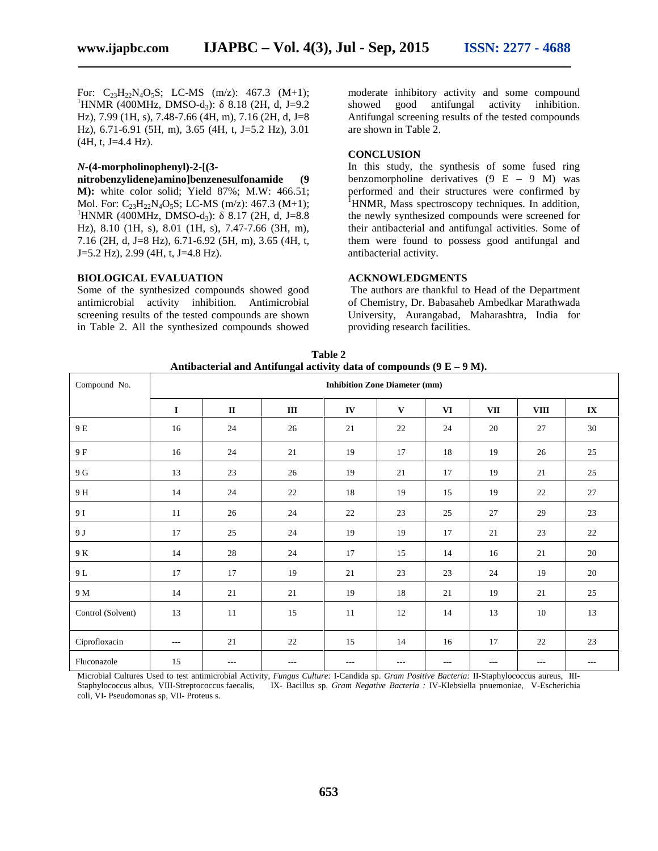For:  $C_{23}H_{22}N_4O_5S$ ; LC-MS (m/z): 467.3 (M+1); moderate inhibities in  ${}^{1}$ HNMR (400MHz, DMSO-d<sub>3</sub>): 8.18 (2H, d, J=9.2 showed good Hz), 7.99 (1H, s), 7.48-7.66 (4H, m), 7.16 (2H, d, J=8 Hz), 6.71-6.91 (5H, m), 3.65 (4H, t, J=5.2 Hz), 3.01  $(4H, t, J=4.4 Hz)$ .

#### *N***-(4-morpholinophenyl)-2-[(3-**

**nitrobenzylidene)amino]benzenesulfonamide (9 M):** white color solid; Yield 87%; M.W: 466.51; Mol. For: C<sub>23</sub>H<sub>22</sub>N<sub>4</sub>O<sub>5</sub>S; LC-MS (m/z): 467.3 (M+1);<br><sup>1</sup>HNMR (400MHz, DMSO-d<sub>3</sub>): 8.17 (2H, d, J=8.8 Hz), 8.10 (1H, s), 8.01 (1H, s), 7.47-7.66 (3H, m), 7.16 (2H, d, J=8 Hz), 6.71-6.92 (5H, m), 3.65 (4H, t, J=5.2 Hz), 2.99 (4H, t, J=4.8 Hz).

#### **BIOLOGICAL EVALUATION**

Some of the synthesized compounds showed good antimicrobial activity inhibition. Antimicrobial screening results of the tested compounds are shown in Table 2. All the synthesized compounds showed moderate inhibitory activity and some compound antifungal activity inhibition. Antifungal screening results of the tested compounds are shown in Table 2.

#### **CONCLUSION**

In this study, the synthesis of some fused ring benzomorpholine derivatives  $(9 \t E - 9 \t M)$  was performed and their structures were confirmed by  ${}^{1}$ HNMR, Mass spectroscopy techniques. In addition, the newly synthesized compounds were screened for their antibacterial and antifungal activities. Some of them were found to possess good antifungal and antibacterial activity.

#### **ACKNOWLEDGMENTS**

The authors are thankful to Head of the Department of Chemistry, Dr. Babasaheb Ambedkar Marathwada University, Aurangabad, Maharashtra, India for providing research facilities.

|  | Antibacterial and Antifungal activity data of compounds $(9 E - 9 M)$ . |  |  |  |  |  |  |
|--|-------------------------------------------------------------------------|--|--|--|--|--|--|
|  | Inhibition Zone Diameter (mm)                                           |  |  |  |  |  |  |

**Table 2**

| Compound No.      | <b>Inhibition Zone Diameter (mm)</b> |       |         |       |              |     |     |             |                   |  |
|-------------------|--------------------------------------|-------|---------|-------|--------------|-----|-----|-------------|-------------------|--|
|                   | $\mathbf I$                          | П     | Ш       | IV    | $\mathbf{V}$ | VI  | VII | <b>VIII</b> | IX                |  |
| 9 E               | 16                                   | 24    | 26      | 21    | 22           | 24  | 20  | 27          | 30                |  |
| 9 F               | 16                                   | 24    | 21      | 19    | 17           | 18  | 19  | 26          | 25                |  |
| 9 G               | 13                                   | 23    | 26      | 19    | 21           | 17  | 19  | 21          | 25                |  |
| 9 H               | 14                                   | 24    | 22      | 18    | 19           | 15  | 19  | 22          | 27                |  |
| 9 I               | 11                                   | 26    | 24      | 22    | 23           | 25  | 27  | 29          | 23                |  |
| 9 J               | 17                                   | 25    | 24      | 19    | 19           | 17  | 21  | 23          | 22                |  |
| 9 K               | 14                                   | 28    | 24      | 17    | 15           | 14  | 16  | 21          | 20                |  |
| 9 L               | 17                                   | 17    | 19      | 21    | 23           | 23  | 24  | 19          | 20                |  |
| 9 M               | 14                                   | 21    | 21      | 19    | 18           | 21  | 19  | 21          | 25                |  |
| Control (Solvent) | 13                                   | 11    | 15      | 11    | 12           | 14  | 13  | 10          | 13                |  |
| Ciprofloxacin     | $\cdots$                             | 21    | 22      | 15    | 14           | 16  | 17  | 22          | 23                |  |
| Fluconazole       | 15                                   | $---$ | $- - -$ | $---$ | $\cdots$     | --- | --- | $---$       | $\qquad \qquad -$ |  |

Microbial Cultures Used to test antimicrobial Activity, *Fungus Culture:* I-Candida sp. *Gram Positive Bacteria:* II-Staphylococcus aureus, III- Staphylococcus albus, VIII-Streptococcus faecalis, IX- Bacillus sp. *Gram Negative Bacteria :* IV-Klebsiella pnuemoniae, V-Escherichia coli, VI- Pseudomonas sp, VII- Proteus s.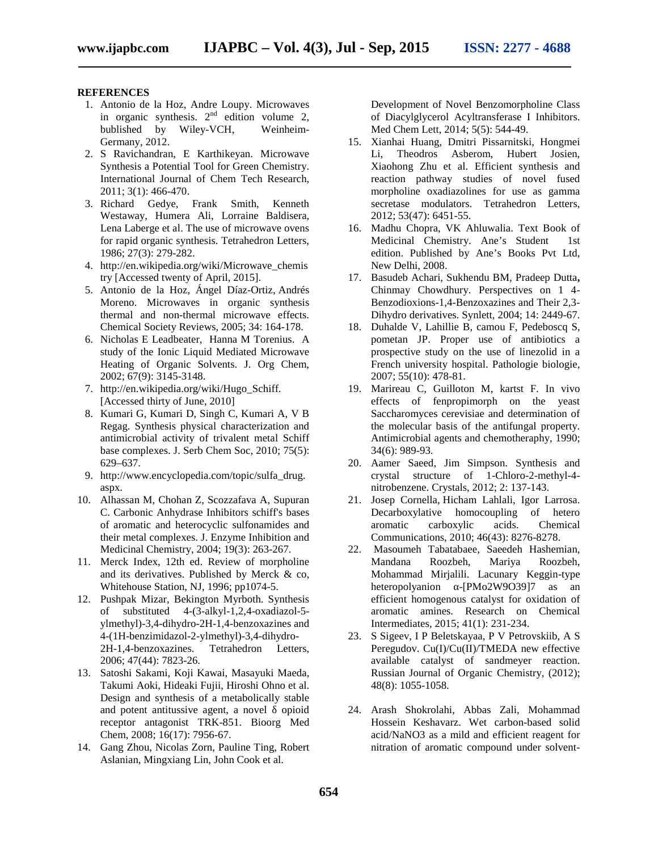#### **REFERENCES**

- 1. Antonio de la Hoz, Andre Loupy. Microwaves in organic synthesis.  $2^{nd}$  edition volume 2, bublished by Wiley-VCH, Weinheim- Germany, 2012.
- 2. S Ravichandran, E Karthikeyan. Microwave Synthesis a Potential Tool for Green Chemistry. International Journal of Chem Tech Research, 2011; 3(1): 466-470.
- 3. Richard Gedye, Frank Smith, Kenneth Westaway, Humera Ali, Lorraine Baldisera, Lena Laberge et al. The use of microwave ovens for rapid organic synthesis. Tetrahedron Letters, 1986; 27(3): 279-282.
- 4. http://en.wikipedia.org/wiki/Microwave\_chemis try [Accessed twenty of April, 2015].
- 5. Antonio de la Hoz, Ángel Díaz-Ortiz, Andrés Moreno. Microwaves in organic synthesis thermal and non-thermal microwave effects. Chemical Society Reviews, 2005; 34: 164-178.
- 6. Nicholas E Leadbeater, Hanna M Torenius. A study of the Ionic Liquid Mediated Microwave Heating of Organic Solvents. J. Org Chem, 2002; 67(9): 3145-3148.
- 7. http://en.wikipedia.org/wiki/Hugo\_Schiff. [Accessed thirty of June, 2010]
- 8. Kumari G, Kumari D, Singh C, Kumari A, V B Regag. Synthesis physical characterization and antimicrobial activity of trivalent metal Schiff base complexes. J. Serb Chem Soc, 2010; 75(5): 629–637.
- 9. http://www.encyclopedia.com/topic/sulfa\_drug. aspx.
- 10. Alhassan M, Chohan Z, Scozzafava A, Supuran C. Carbonic Anhydrase Inhibitors schiff's bases of aromatic and heterocyclic sulfonamides and their metal complexes. J. Enzyme Inhibition and Medicinal Chemistry, 2004; 19(3): 263-267.
- 11. Merck Index, 12th ed. Review of morpholine and its derivatives. Published by Merck & co, Whitehouse Station, NJ, 1996; pp1074-5.
- 12. Pushpak Mizar, Bekington Myrboth. Synthesis of substituted 4-(3-alkyl-1,2,4-oxadiazol-5 ylmethyl)-3,4-dihydro-2H-1,4-benzoxazines and 4-(1H-benzimidazol-2-ylmethyl)-3,4-dihydro- 2H-1,4-benzoxazines. Tetrahedron Letters, 2006; 47(44): 7823-26.
- 13. Satoshi Sakami, Koji Kawai, Masayuki Maeda, Takumi Aoki, Hideaki Fujii, Hiroshi Ohno et al. Design and synthesis of a metabolically stable and potent antitussive agent, a novel opioid receptor antagonist TRK-851. Bioorg Med Chem, 2008; 16(17): 7956-67.
- 14. Gang Zhou, Nicolas Zorn, Pauline Ting, Robert Aslanian, Mingxiang Lin, John Cook et al.

Development of Novel Benzomorpholine Class of Diacylglycerol Acyltransferase I Inhibitors. Med Chem Lett, 2014; 5(5): 544-49.

- 15. Xianhai Huang, Dmitri Pissarnitski, Hongmei Li, Theodros Asberom, Hubert Josien, Xiaohong Zhu et al. Efficient synthesis and reaction pathway studies of novel fused morpholine oxadiazolines for use as gamma secretase modulators. Tetrahedron Letters, 2012; 53(47): 6451-55.
- 16. Madhu Chopra, VK Ahluwalia. Text Book of Medicinal Chemistry. Ane's Student 1st edition. Published by Ane's Books Pvt Ltd, New Delhi, 2008.
- 17. Basudeb Achari, Sukhendu BM, Pradeep Dutta**,** Chinmay Chowdhury. Perspectives on 1 4- Benzodioxions-1,4-Benzoxazines and Their 2,3- Dihydro derivatives. Synlett, 2004; 14: 2449-67.
- 18. Duhalde V, Lahillie B, camou F, Pedeboscq S, pometan JP. Proper use of antibiotics a prospective study on the use of linezolid in a French university hospital. Pathologie biologie, 2007; 55(10): 478-81.
- 19. Marireau C, Guilloton M, kartst F. In vivo effects of fenpropimorph on the yeast Saccharomyces cerevisiae and determination of the molecular basis of the antifungal property. Antimicrobial agents and chemotheraphy, 1990; 34(6): 989-93.
- 20. Aamer Saeed, Jim Simpson. Synthesis and crystal structure of 1-Chloro-2-methyl-4 nitrobenzene. Crystals, 2012; 2: 137-143.
- 21. Josep Cornella, Hicham Lahlali, Igor Larrosa. Decarboxylative homocoupling of hetero aromatic carboxylic acids. Chemical Communications, 2010; 46(43): 8276-8278.
- 22. Masoumeh Tabatabaee, Saeedeh Hashemian, Mandana Roozbeh, Mariya Roozbeh, Mohammad Mirjalili. Lacunary Keggin-type heteropolyanion - [PMo2W9O39]7 as an efficient homogenous catalyst for oxidation of aromatic amines. Research on Chemical Intermediates, 2015; 41(1): 231-234.
- 23. S Sigeev, I P Beletskayaa, P V Petrovskiib, A S Peregudov. Cu(I)/Cu(II)/TMEDA new effective available catalyst of sandmeyer reaction. Russian Journal of Organic Chemistry, (2012); 48(8): 1055-1058.
- 24. Arash Shokrolahi, Abbas Zali, Mohammad Hossein Keshavarz. Wet carbon-based solid acid/NaNO3 as a mild and efficient reagent for nitration of aromatic compound under solvent-